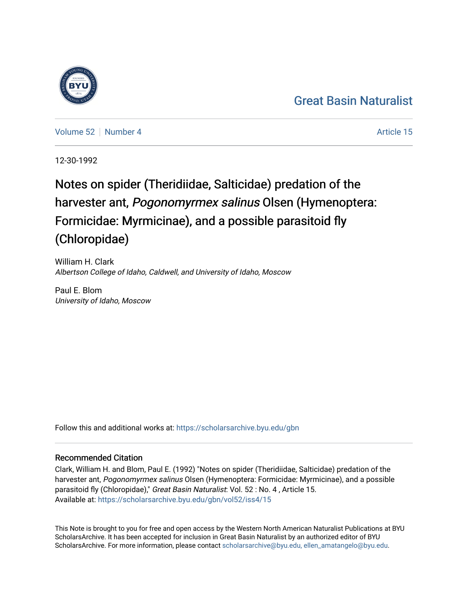#### [Great Basin Naturalist](https://scholarsarchive.byu.edu/gbn)



[Volume 52](https://scholarsarchive.byu.edu/gbn/vol52) [Number 4](https://scholarsarchive.byu.edu/gbn/vol52/iss4) Article 15

12-30-1992

#### Notes on spider (Theridiidae, Salticidae) predation of the harvester ant, Pogonomyrmex salinus Olsen (Hymenoptera: Formicidae: Myrmicinae), and a possible parasitoid fly (Chloropidae)

William H. Clark Albertson College of Idaho, Caldwell, and University of Idaho, Moscow

Paul E. Blom University of Idaho, Moscow

Follow this and additional works at: [https://scholarsarchive.byu.edu/gbn](https://scholarsarchive.byu.edu/gbn?utm_source=scholarsarchive.byu.edu%2Fgbn%2Fvol52%2Fiss4%2F15&utm_medium=PDF&utm_campaign=PDFCoverPages) 

#### Recommended Citation

Clark, William H. and Blom, Paul E. (1992) "Notes on spider (Theridiidae, Salticidae) predation of the harvester ant, Pogonomyrmex salinus Olsen (Hymenoptera: Formicidae: Myrmicinae), and a possible parasitoid fly (Chloropidae)," Great Basin Naturalist: Vol. 52 : No. 4 , Article 15. Available at: [https://scholarsarchive.byu.edu/gbn/vol52/iss4/15](https://scholarsarchive.byu.edu/gbn/vol52/iss4/15?utm_source=scholarsarchive.byu.edu%2Fgbn%2Fvol52%2Fiss4%2F15&utm_medium=PDF&utm_campaign=PDFCoverPages) 

This Note is brought to you for free and open access by the Western North American Naturalist Publications at BYU ScholarsArchive. It has been accepted for inclusion in Great Basin Naturalist by an authorized editor of BYU ScholarsArchive. For more information, please contact [scholarsarchive@byu.edu, ellen\\_amatangelo@byu.edu.](mailto:scholarsarchive@byu.edu,%20ellen_amatangelo@byu.edu)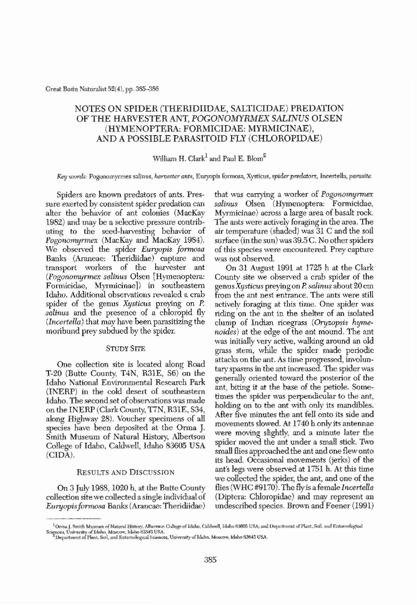**Creat Busin Naturalist 52(4), pp. 385--386**

# NOTES ON SPIDER (THERIDIIDAE, SALTICIDAE) PREDATION OF THE HARVESTER ANT, POGONOMYRMEX SALINUS OLSEN (HYMENOPTERA: FORMICIDAE: MYRMICINAE), AND A POSSIBLE PARASITOID FLY (CHLOROPIDAE)

William H. Clark<sup>1</sup> and Paul E. Blom<sup>2</sup>

*Key* words: Pogonomyrmex salinus, harvester ants, Euryopis formosa, Xysticus, spider predators, Incertellu, parasite.

Spiders are known predators of ants. Pressure exerted by consistent spider predation can alter the behavior of ant colonies (MacKay 1982) and may be a selective pressure contributing to the seed-harvesting behavior of *Pogonomyrmex* (MacKay and MacKay 1984). We observed the spider *Euryopis formosa* Banks (Araneae: Theridiidae) capture and transport workers of the harvester ant *(Pogonomyrmex salinus Olsen [Hymenoptera:* Formicidae, MyrmicinaeJ) in southeastem Idaho. Additional observations revealed a crab spider of the genus *Xysticus* preying on P. salinus and the presence of a chloropid fly *(Incertella)* that may have been parasitizing the moribund prey subdued by the spider.

that was carrying a worker of *Pogonomyrmex* salinus Olsen (Hymenoptera: Formicidae, Myrmicinae) across a large area of basalt rock. The ants were actively foraging in the area. The air temperature (shaded) was 31 C and the soil surface (in the sun) was  $39.5C$ . No other spiders of this species were encountered. Prey capture **was not observed.**

On 31 August 1991 at 1725 h at the Clark County site we observed a crab spider of the genus *Xystictls* preying on P *salintls* about 20cm from the ant nest entrance. The ants were still actively foraging at this time. One spider was riding on the ant in the shelter of an isolated clump of Indian ricegrass *(Oryzopsis hyme noides*) at the edge of the ant mound. The ant was initially very active, walking around an old grass stem, while the spider made periodic attacks on the ant. As time progressed, involuntary spasms in the ant increased. The spider was generally oriented toward the posterior of the ant, biting it at the base of the petiole. Sometimes the spider was perpendicular to the ant, holding on to the ant with only its mandibles. After five minutes the ant fell onto its side and movements slowed.. At 1740 h only its antennae were moving slightly, and a minute later the spider moved the ant under a small stick. Two small flies approached the ant and one flew onto its head. Occasional movements (jerks) of the ant's legs were observed at 1751 h. At this time we collected the spider, the ant, and one of the flies (WHC#9170). The fly is a female *Incertella* (Diptera: Chloropidae) and may represent an undescribed species. Brown and Feener (1991)

## STUDY SITE

One collection site is located along Road T-20 (Butte County, T4N, R31E, S6) on the Idaho National Environmental Research Park (INERP) in the cold desert of southeastern Idaho. The second set of observations was made on the INERP (Clark County, T7N, R31E, S34, along Highway 28). Voucher specimens of all species have been deposited at the Orma J. Smith Museum of Natural History, Albertson College of Idaho, Caldwell, Idaho 83605 USA (ClDA).

## RESULTS AND DISCUSSION

On 3 July 1988, 1020 h, at the Butte County collection site we collected a single individual of *Euryopisformosa* Banks(Arancae: Theridiidae)

<sup>&</sup>lt;sup>1</sup>Orma J. Smith Museum of Natural History, Albertson College of Idaho, Caldwell, Idaho 83605 USA; and Department of Plant, Soil, and Entomological Sciences, University of Idaho, Moscow, Idaho 83843 USA.